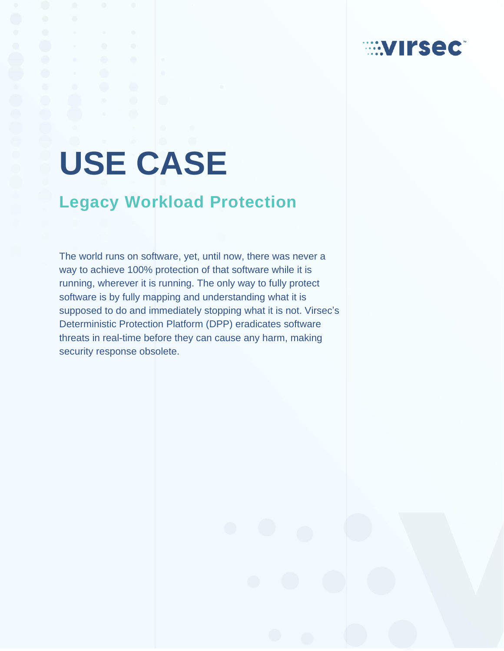# **USE CASE**

# **Legacy Workload Protection**

The world runs on software, yet, until now, there was never a way to achieve 100% protection of that software while it is running, wherever it is running. The only way to fully protect software is by fully mapping and understanding what it is supposed to do and immediately stopping what it is not. Virsec's Deterministic Protection Platform (DPP) eradicates software threats in real-time before they can cause any harm, making security response obsolete.

**EXTIRSECT**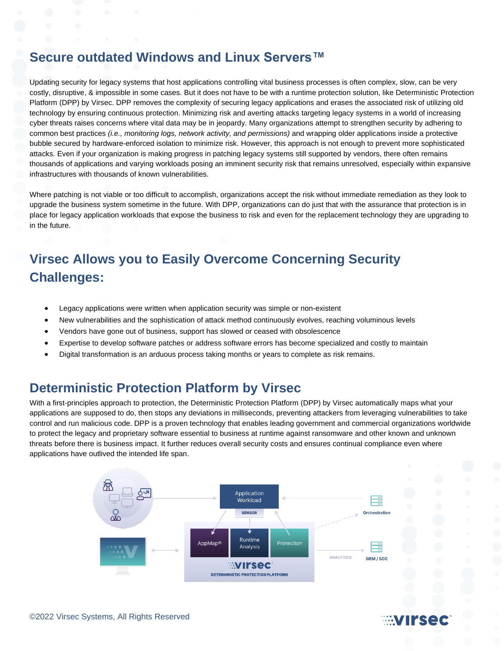## **Secure outdated Windows and Linux Servers™**

Updating security for legacy systems that host applications controlling vital business processes is often complex, slow, can be very costly, disruptive, & impossible in some cases. But it does not have to be with a runtime protection solution, like Deterministic Protection Platform (DPP) by Virsec. DPP removes the complexity of securing legacy applications and erases the associated risk of utilizing old technology by ensuring continuous protection. Minimizing risk and averting attacks targeting legacy systems in a world of increasing cyber threats raises concerns where vital data may be in jeopardy. Many organizations attempt to strengthen security by adhering to common best practices *(i.e., monitoring logs, network activity, and permissions)* and wrapping older applications inside a protective bubble secured by hardware-enforced isolation to minimize risk. However, this approach is not enough to prevent more sophisticated attacks. Even if your organization is making progress in patching legacy systems still supported by vendors, there often remains thousands of applications and varying workloads posing an imminent security risk that remains unresolved, especially within expansive infrastructures with thousands of known vulnerabilities.

Where patching is not viable or too difficult to accomplish, organizations accept the risk without immediate remediation as they look to upgrade the business system sometime in the future. With DPP, organizations can do just that with the assurance that protection is in place for legacy application workloads that expose the business to risk and even for the replacement technology they are upgrading to in the future.

## **Virsec Allows you to Easily Overcome Concerning Security Challenges:**

- Legacy applications were written when application security was simple or non-existent
- New vulnerabilities and the sophistication of attack method continuously evolves, reaching voluminous levels
- Vendors have gone out of business, support has slowed or ceased with obsolescence
- Expertise to develop software patches or address software errors has become specialized and costly to maintain
- Digital transformation is an arduous process taking months or years to complete as risk remains.

### **Deterministic Protection Platform by Virsec**

With a first-principles approach to protection, the Deterministic Protection Platform (DPP) by Virsec automatically maps what your applications are supposed to do, then stops any deviations in milliseconds, preventing attackers from leveraging vulnerabilities to take control and run malicious code. DPP is a proven technology that enables leading government and commercial organizations worldwide to protect the legacy and proprietary software essential to business at runtime against ransomware and other known and unknown threats before there is business impact. It further reduces overall security costs and ensures continual compliance even where applications have outlived the intended life span.



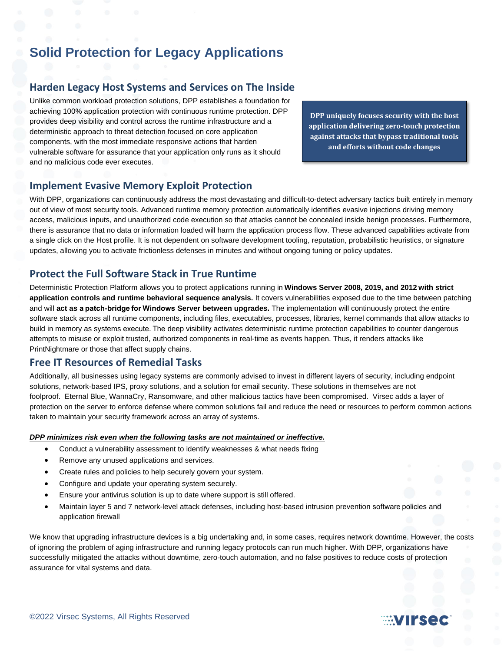## **Solid Protection for Legacy Applications**

#### **Harden Legacy Host Systems and Services on The Inside**

Unlike common workload protection solutions, DPP establishes a foundation for achieving 100% application protection with continuous runtime protection. DPP provides deep visibility and control across the runtime infrastructure and a deterministic approach to threat detection focused on core application components, with the most immediate responsive actions that harden vulnerable software for assurance that your application only runs as it should and no malicious code ever executes.

**DPP uniquely focuses security with the host application delivering zero-touch protection against attacks that bypass traditional tools and efforts without code changes**

#### **Implement Evasive Memory Exploit Protection**

With DPP, organizations can continuously address the most devastating and difficult-to-detect adversary tactics built entirely in memory out of view of most security tools. Advanced runtime memory protection automatically identifies evasive injections driving memory access, malicious inputs, and unauthorized code execution so that attacks cannot be concealed inside benign processes. Furthermore, there is assurance that no data or information loaded will harm the application process flow. These advanced capabilities activate from a single click on the Host profile. It is not dependent on software development tooling, reputation, probabilistic heuristics, or signature updates, allowing you to activate frictionless defenses in minutes and without ongoing tuning or policy updates.

#### **Protect the Full Software Stack in True Runtime**

Deterministic Protection Platform allows you to protect applications running in **Windows Server 2008, 2019, and 2012 with strict application controls and runtime behavioral sequence analysis.** It covers vulnerabilities exposed due to the time between patching and will **act as a patch-bridge for Windows Server between upgrades.** The implementation will continuously protect the entire software stack across all runtime components, including files, executables, processes, libraries, kernel commands that allow attacks to build in memory as systems execute. The deep visibility activates deterministic runtime protection capabilities to counter dangerous attempts to misuse or exploit trusted, authorized components in real-time as events happen. Thus, it renders attacks like PrintNightmare or those that affect supply chains.

#### **Free IT Resources of Remedial Tasks**

Additionally, all businesses using legacy systems are commonly advised to invest in different layers of security, including endpoint solutions, network-based IPS, proxy solutions, and a solution for email security. These solutions in themselves are not foolproof. Eternal Blue, WannaCry, Ransomware, and other malicious tactics have been compromised. Virsec adds a layer of protection on the server to enforce defense where common solutions fail and reduce the need or resources to perform common actions taken to maintain your security framework across an array of systems.

#### *DPP minimizes risk even when the following tasks are not maintained or ineffective.*

- Conduct a vulnerability assessment to identify weaknesses & what needs fixing
- Remove any unused applications and services.
- Create rules and policies to help securely govern your system.
- Configure and update your operating system securely.
- Ensure your antivirus solution is up to date where support is still offered.
- Maintain layer 5 and 7 network-level attack defenses, including host-based intrusion prevention software policies and application firewall

We know that upgrading infrastructure devices is a big undertaking and, in some cases, requires network downtime. However, the costs of ignoring the problem of aging infrastructure and running legacy protocols can run much higher. With DPP, organizations have successfully mitigated the attacks without downtime, zero-touch automation, and no false positives to reduce costs of protection assurance for vital systems and data.